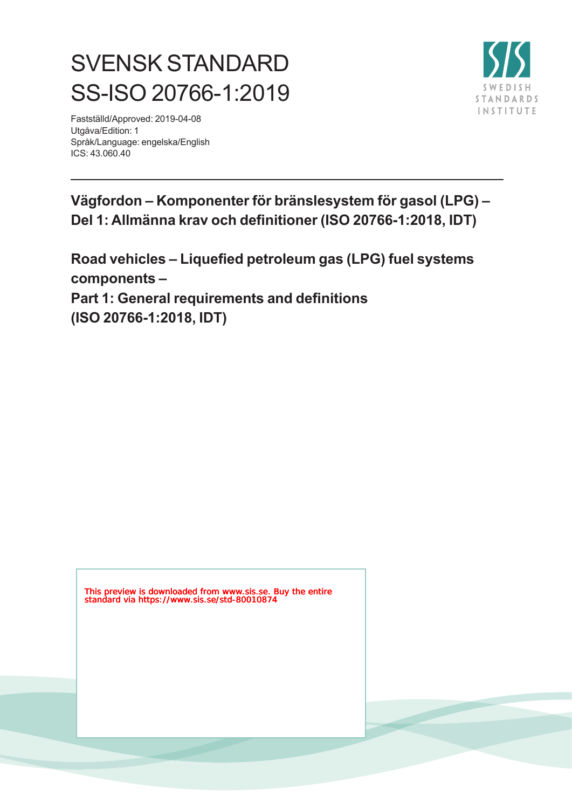# SVENSK STANDARD SS-ISO 20766-1:2019

**STANDARDS INSTITUTE** 

Fastställd/Approved: 2019-04-08 Utgåva/Edition: 1 Språk/Language: engelska/English ICS: 43.060.40

**Vägfordon – Komponenter för bränslesystem för gasol (LPG) – Del 1: Allmänna krav och definitioner (ISO 20766‑1:2018, IDT)**

**Road vehicles – Liquefied petroleum gas (LPG) fuel systems components –**

**Part 1: General requirements and definitions (ISO 20766‑1:2018, IDT)**

This preview is downloaded from www.sis.se. Buy the entire standard via https://www.sis.se/std-80010874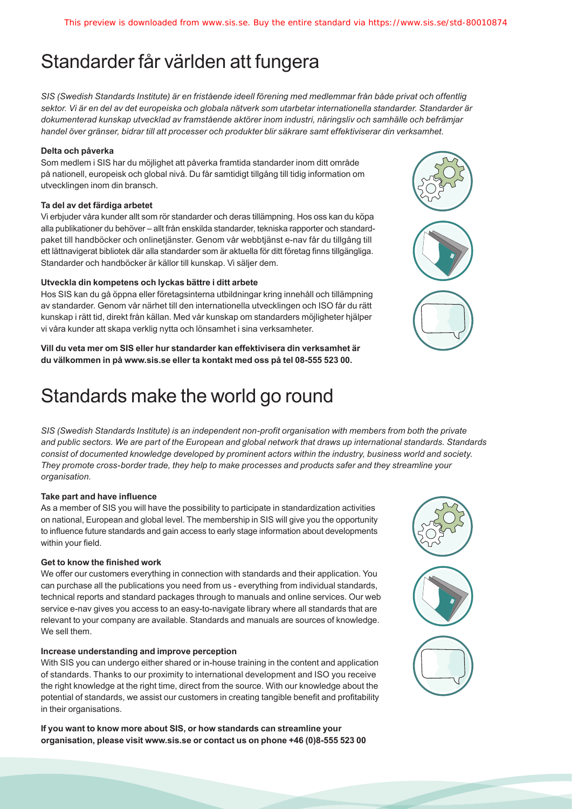# Standarder får världen att fungera

*SIS (Swedish Standards Institute) är en fristående ideell förening med medlemmar från både privat och offentlig sektor. Vi är en del av det europeiska och globala nätverk som utarbetar internationella standarder. Standarder är dokumenterad kunskap utvecklad av framstående aktörer inom industri, näringsliv och samhälle och befrämjar handel över gränser, bidrar till att processer och produkter blir säkrare samt effektiviserar din verksamhet.* 

#### **Delta och påverka**

Som medlem i SIS har du möjlighet att påverka framtida standarder inom ditt område på nationell, europeisk och global nivå. Du får samtidigt tillgång till tidig information om utvecklingen inom din bransch.

#### **Ta del av det färdiga arbetet**

Vi erbjuder våra kunder allt som rör standarder och deras tillämpning. Hos oss kan du köpa alla publikationer du behöver – allt från enskilda standarder, tekniska rapporter och standardpaket till handböcker och onlinetjänster. Genom vår webbtjänst e-nav får du tillgång till ett lättnavigerat bibliotek där alla standarder som är aktuella för ditt företag finns tillgängliga. Standarder och handböcker är källor till kunskap. Vi säljer dem.

#### **Utveckla din kompetens och lyckas bättre i ditt arbete**

Hos SIS kan du gå öppna eller företagsinterna utbildningar kring innehåll och tillämpning av standarder. Genom vår närhet till den internationella utvecklingen och ISO får du rätt kunskap i rätt tid, direkt från källan. Med vår kunskap om standarders möjligheter hjälper vi våra kunder att skapa verklig nytta och lönsamhet i sina verksamheter.

**Vill du veta mer om SIS eller hur standarder kan effektivisera din verksamhet är du välkommen in på www.sis.se eller ta kontakt med oss på tel 08-555 523 00.**

# Standards make the world go round

*SIS (Swedish Standards Institute) is an independent non-profit organisation with members from both the private and public sectors. We are part of the European and global network that draws up international standards. Standards consist of documented knowledge developed by prominent actors within the industry, business world and society. They promote cross-border trade, they help to make processes and products safer and they streamline your organisation.*

#### **Take part and have influence**

As a member of SIS you will have the possibility to participate in standardization activities on national, European and global level. The membership in SIS will give you the opportunity to influence future standards and gain access to early stage information about developments within your field.

#### **Get to know the finished work**

We offer our customers everything in connection with standards and their application. You can purchase all the publications you need from us - everything from individual standards, technical reports and standard packages through to manuals and online services. Our web service e-nav gives you access to an easy-to-navigate library where all standards that are relevant to your company are available. Standards and manuals are sources of knowledge. We sell them.

#### **Increase understanding and improve perception**

With SIS you can undergo either shared or in-house training in the content and application of standards. Thanks to our proximity to international development and ISO you receive the right knowledge at the right time, direct from the source. With our knowledge about the potential of standards, we assist our customers in creating tangible benefit and profitability in their organisations.

**If you want to know more about SIS, or how standards can streamline your organisation, please visit www.sis.se or contact us on phone +46 (0)8-555 523 00**



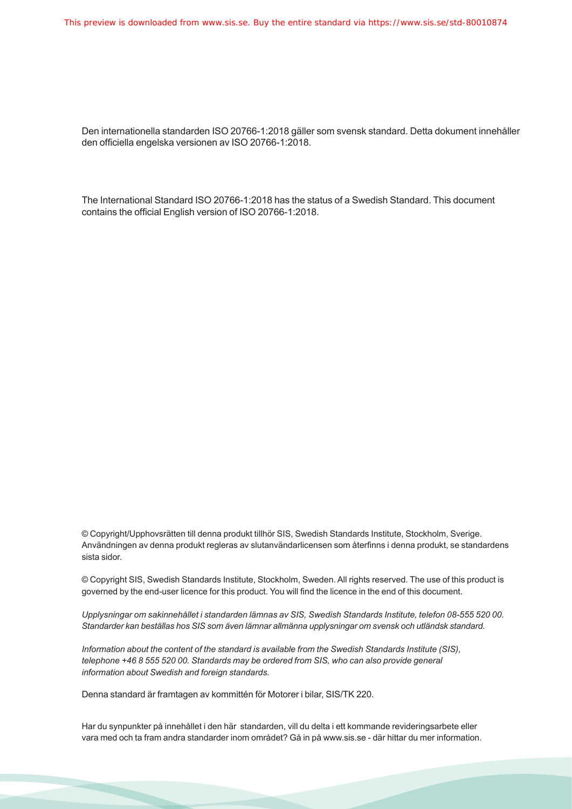Den internationella standarden ISO 20766-1:2018 gäller som svensk standard. Detta dokument innehåller den officiella engelska versionen av ISO 20766-1:2018.

The International Standard ISO 20766-1:2018 has the status of a Swedish Standard. This document contains the official English version of ISO 20766-1:2018.

© Copyright/Upphovsrätten till denna produkt tillhör SIS, Swedish Standards Institute, Stockholm, Sverige. Användningen av denna produkt regleras av slutanvändarlicensen som återfinns i denna produkt, se standardens sista sidor.

© Copyright SIS, Swedish Standards Institute, Stockholm, Sweden. All rights reserved. The use of this product is governed by the end-user licence for this product. You will find the licence in the end of this document.

*Upplysningar om sakinnehållet i standarden lämnas av SIS, Swedish Standards Institute, telefon 08-555 520 00. Standarder kan beställas hos SIS som även lämnar allmänna upplysningar om svensk och utländsk standard.*

*Information about the content of the standard is available from the Swedish Standards Institute (SIS), telephone +46 8 555 520 00. Standards may be ordered from SIS, who can also provide general information about Swedish and foreign standards.*

Denna standard är framtagen av kommittén för Motorer i bilar, SIS/TK 220.

Har du synpunkter på innehållet i den här standarden, vill du delta i ett kommande revideringsarbete eller vara med och ta fram andra standarder inom området? Gå in på www.sis.se - där hittar du mer information.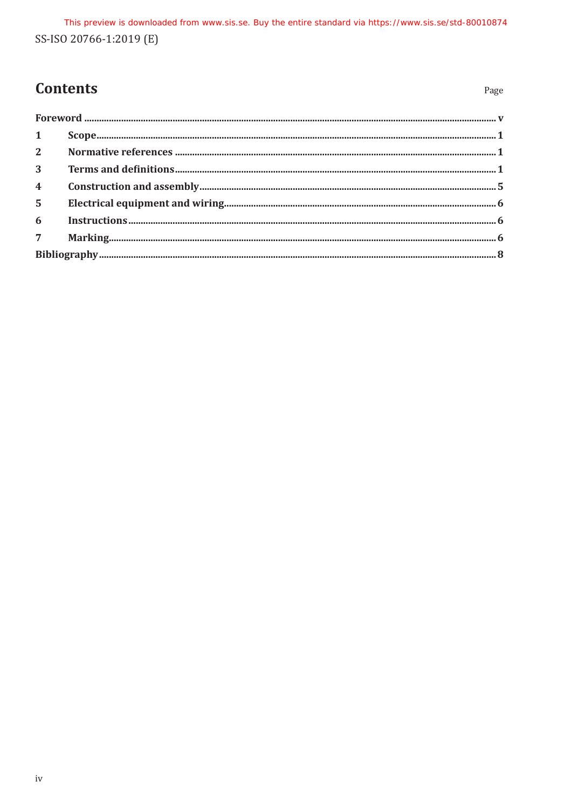This preview is downloaded from www.sis.se. Buy the entire standard via https://www.sis.se/std-80010874 SS-ISO 20766-1:2019 (E)

# **Contents**

| $\mathbf{1}$    |  |  |
|-----------------|--|--|
| $\overline{2}$  |  |  |
| $\overline{3}$  |  |  |
| $\overline{4}$  |  |  |
| 5               |  |  |
| $6\overline{6}$ |  |  |
| $\overline{7}$  |  |  |
|                 |  |  |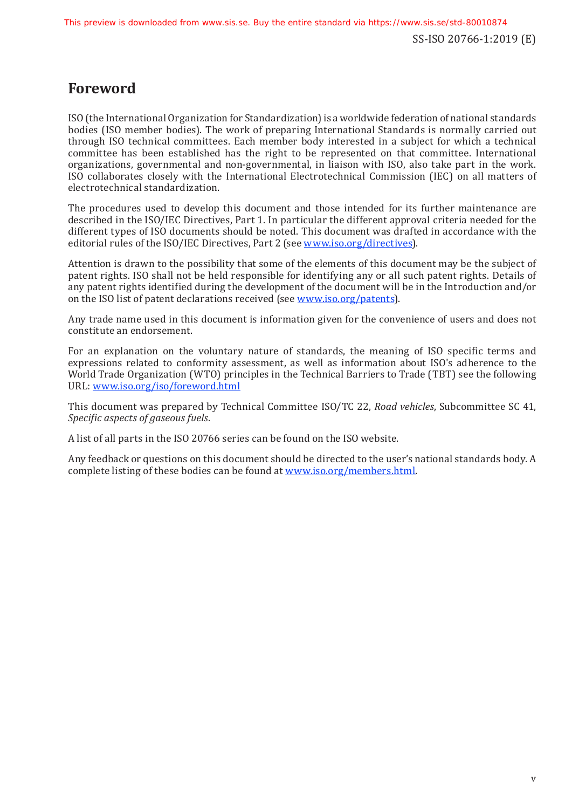# <span id="page-4-0"></span>**Foreword**

ISO (the International Organization for Standardization) is a worldwide federation of national standards bodies (ISO member bodies). The work of preparing International Standards is normally carried out through ISO technical committees. Each member body interested in a subject for which a technical committee has been established has the right to be represented on that committee. International organizations, governmental and non-governmental, in liaison with ISO, also take part in the work. ISO collaborates closely with the International Electrotechnical Commission (IEC) on all matters of electrotechnical standardization.

The procedures used to develop this document and those intended for its further maintenance are described in the ISO/IEC Directives, Part 1. In particular the different approval criteria needed for the different types of ISO documents should be noted. This document was drafted in accordance with the editorial rules of the ISO/IEC Directives, Part 2 (see [www.iso.org/directives\)](https://www.iso.org/directives).

Attention is drawn to the possibility that some of the elements of this document may be the subject of patent rights. ISO shall not be held responsible for identifying any or all such patent rights. Details of any patent rights identified during the development of the document will be in the Introduction and/or on the ISO list of patent declarations received (see [www.iso.org/patents](https://www.iso.org/patents)).

Any trade name used in this document is information given for the convenience of users and does not constitute an endorsement.

For an explanation on the voluntary nature of standards, the meaning of ISO specific terms and expressions related to conformity assessment, as well as information about ISO's adherence to the World Trade Organization (WTO) principles in the Technical Barriers to Trade (TBT) see the following URL: [www.iso.org/iso/foreword.html](https://www.iso.org/iso/foreword.html)

This document was prepared by Technical Committee ISO/TC 22, *Road vehicles*, Subcommittee SC 41, *Specific aspects of gaseous fuels*.

A list of all parts in the ISO 20766 series can be found on the ISO website.

Any feedback or questions on this document should be directed to the user's national standards body. A complete listing of these bodies can be found at [www.iso.org/members.html.](https://www.iso.org/members.html)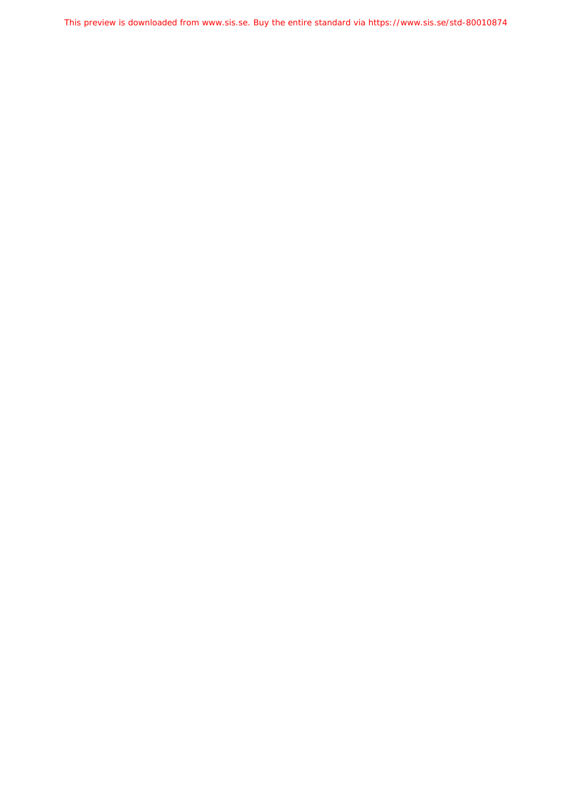This preview is downloaded from www.sis.se. Buy the entire standard via https://www.sis.se/std-80010874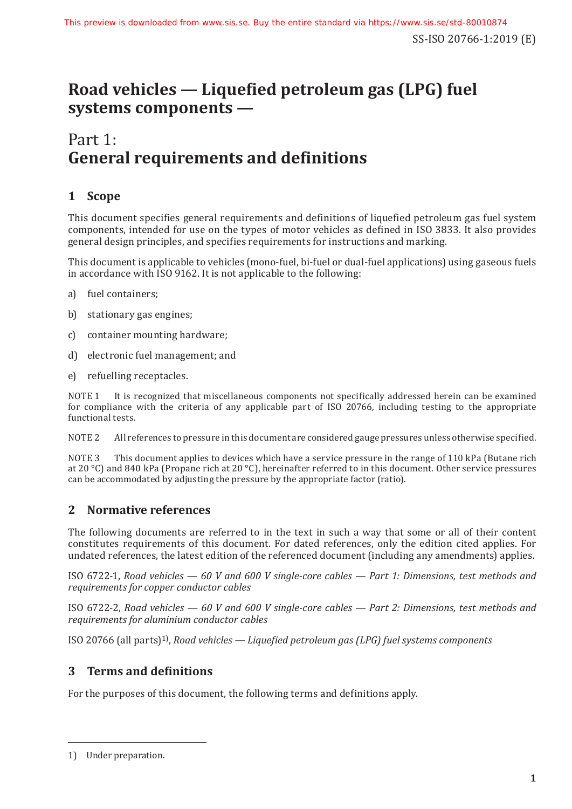# **Road vehicles — Liquefied petroleum gas (LPG) fuel systems components —**

# Part 1: **General requirements and definitions**

# <span id="page-6-0"></span>**1 Scope**

This document specifies general requirements and definitions of liquefied petroleum gas fuel system components, intended for use on the types of motor vehicles as defined in ISO 3833. It also provides general design principles, and specifies requirements for instructions and marking.

This document is applicable to vehicles (mono-fuel, bi-fuel or dual-fuel applications) using gaseous fuels in accordance with ISO 9162. It is not applicable to the following:

- a) fuel containers;
- b) stationary gas engines;
- c) container mounting hardware;
- d) electronic fuel management; and
- e) refuelling receptacles.

NOTE 1 It is recognized that miscellaneous components not specifically addressed herein can be examined for compliance with the criteria of any applicable part of ISO 20766, including testing to the appropriate functional tests.

NOTE 2 All references to pressure in this document are considered gauge pressures unless otherwise specified.

NOTE 3 This document applies to devices which have a service pressure in the range of 110 kPa (Butane rich at 20 °C) and 840 kPa (Propane rich at 20 °C), hereinafter referred to in this document. Other service pressures can be accommodated by adjusting the pressure by the appropriate factor (ratio).

### <span id="page-6-1"></span>**2 Normative references**

The following documents are referred to in the text in such a way that some or all of their content constitutes requirements of this document. For dated references, only the edition cited applies. For undated references, the latest edition of the referenced document (including any amendments) applies.

ISO 6722-1, *Road vehicles — 60 V and 600 V single-core cables — Part 1: Dimensions, test methods and requirements for copper conductor cables*

ISO 6722-2, *Road vehicles — 60 V and 600 V single-core cables — Part 2: Dimensions, test methods and requirements for aluminium conductor cables*

ISO 20766 (all parts)1), *Road vehicles — Liquefied petroleum gas (LPG) fuel systems components*

## <span id="page-6-2"></span>**3 Terms and definitions**

For the purposes of this document, the following terms and definitions apply.

<sup>1)</sup> Under preparation.